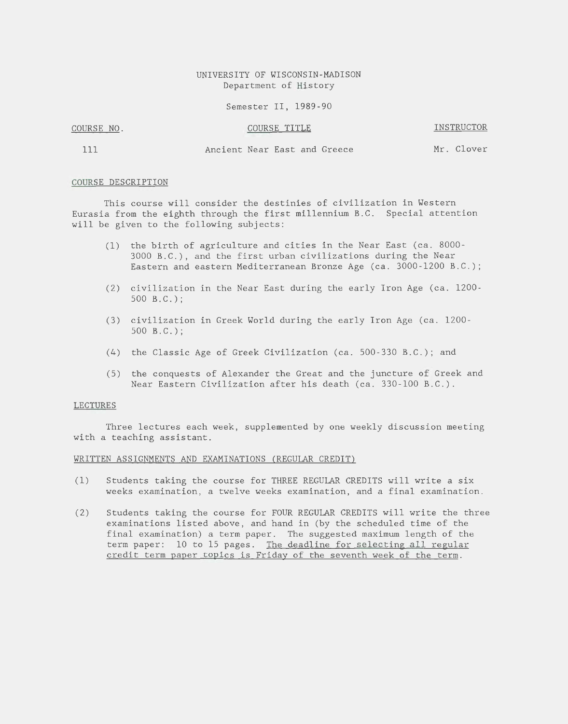## UNIVERSITY OF WISCONSIN-MADISON Department of History

Semester II, 1989-90

## COURSE NO. COURSE TITLE INSTRUCTOR

111 Ancient Near East and Greece Mr. Clover

## COURSE DESCRIPTION

This course will consider the destinies of civilization in Western Eurasia from the eighth through the first millennium B.C. Special attention will be given to the following subjects:

- (1) the birth of agriculture and cities in the Near East (ca. 8000- 3000 B.C.), and the first urban civilizations during the Near Eastern and eastern Mediterranean Bronze Age (ca. 3000-1200 B.C.);
- (2) civilization in the Near East during the early Iron Age (ca. 1200- 500 B.C.);
- (3) civilization in Greek World during the early Iron Age (ca. 1200- 500 B.C.);
- (4) the Classic Age of Greek Civilization (ca. 500-330 B.C.); and
- (5) the conquests of Alexander the Great and the juncture of Greek and Near Eastern Civilization after his death (ca. 330-100 B.C.).

#### LECTURES

Three lectures each week, supplemented by one weekly discussion meeting with a teaching assistant.

#### WRITTEN ASSIGNMENTS AND EXAMINATIONS (REGULAR CREDIT)

- (1) Students taking the course for THREE REGULAR CREDITS will write a six weeks examination, a twelve weeks examination, and a final examination.
- (2) Students taking the course for FOUR REGULAR CREDITS will write the three examinations listed above, and hand in (by the scheduled time of the final examination) a term paper. The suggested maximum length of the term paper: 10 to 15 pages. The deadline for selecting all regular credit term paper topics is Friday of the seventh week of the term.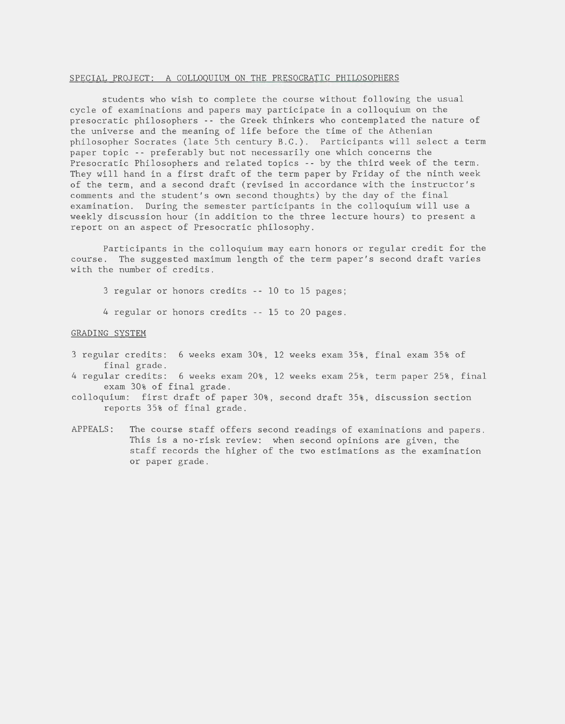#### SPECIAL PROJECT: A COLLOQUIUM ON THE PRESOCRATIC PHILOSOPHERS

students who wish to complete the course without following the usual cycle of examinations and papers may participate in a colloquium on the presocratic philosophers -- the Greek thinkers who contemplated the nature of the universe and the meaning of life before the time of the Athenian philosopher Socrates (late 5th century B.C.). Participants will select a term paper topic -- preferably but not necessarily one which concerns the Presocratic Philosophers and related topics -- by the third week of the term. They will hand in a first draft of the term paper by Friday of the ninth week of the term, and a second draft (revised in accordance with the instructor's comments and the student's own second thoughts) by the day of the final examination. During the semester participants in the colloquium will use a weekly discussion hour (in addition to the three lecture hours) to present a report on an aspect of Presocratic philosophy.

Participants in the colloquium may earn honors or regular credit for the course. The suggested maximum length of the term paper's second draft varies with the number of credits.

 $3$  regular or honors credits -- 10 to 15 pages;

4 regular or honors credits -- 15 to 20 pages.

## GRADING SYSTEM

- 3 regular credits: 6 weeks exam 30%, 12 weeks exam 35%, final exam 35% of final grade.
- 4 regular credits: 6 weeks exam 20%, 12 weeks exam 25%, term paper 25%, final exam 30% of final grade.
- colloquium: first draft of paper 30%, second draft 35%, discussion section reports 35% of final grade.
- APPEALS: The course staff offers second readings of examinations and papers. This is a no-risk review: when second opinions are given, the staff records the higher of the two estimations as the examination or paper grade.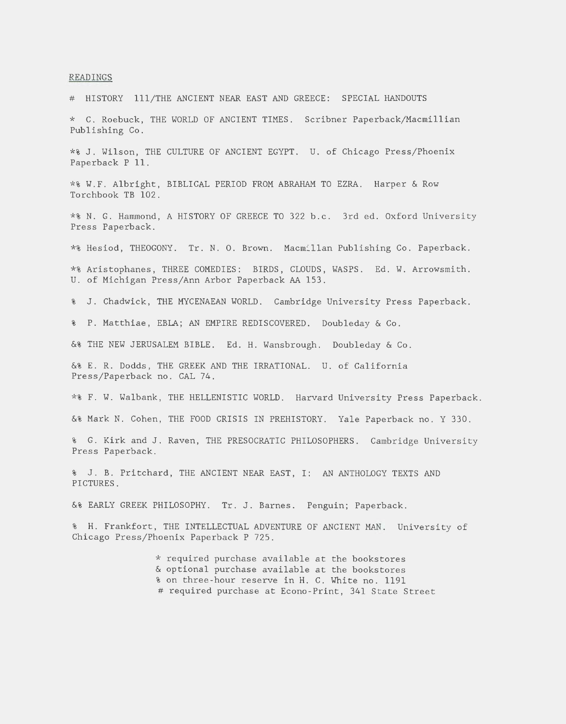#### READINGS

# HISTORY 111/THE ANCIENT NEAR EAST AND GREECE: SPECIAL HANDOUTS

\* C. Roebuck, THE WORLD OF ANCIENT TIMES. Scribner Paperback/Macmi1lian Publishing Co.

\*% J. Wilson, THE CULTURE OF ANCIENT EGYPT. U. of Chicago Press/Phoenix Paperback P 11.

\*% W.F. Albright, BIBLICAL PERIOD FROM ABRAHAM TO EZRA. Harper & Row Torchbook TB 102.

\*% N. G. Hammond, A HISTORY OF GREECE TO 322 b.c. 3rd ed. Oxford University Press Paperback.

\*% Hesiod, THEOGONY. Tr. N. 0. Brown. Macmillan Publishing Co. Paperback.

\*% Aristophanes, THREE COMEDIES: BIRDS, CLOUDS, WASPS. Ed. W. Arrowsmith. U. of Michigan Press/Ann Arbor Paperback AA 153.

% J. Chadwick, THE MYCENAEAN WORLD. Cambridge University Press Paperback .

% P. Matthiae, EBLA; AN EMPIRE REDISCOVERED. Doubleday & Co.

&% THE NEW JERUSALEM BIBLE. Ed. H. Wansbrough. Doubleday & Co.

&% E. R. Dodds, THE GREEK AND THE IRRATIONAL. U. of California Press/Paperback no. CAL 74.

\*% F. W. Walbank, THE HELLENISTIC WORLD. Harvard University Press Paperback.

&% Mark N. Cohen, THE FOOD CRISIS IN PREHISTORY. Yale Paperback no. Y 330.

% G. Kirk and J. Raven, THE PRESOCRATIC PHILOSOPHERS. Cambridge University Press Paperback.

% J. B. Pritchard, THE ANCIENT NEAR EAST, I: AN ANTHOLOGY TEXTS AND PICTURES.

&% EARLY GREEK PHILOSOPHY. Tr. J. Barnes. Penguin; Paperback.

% H. Frankfort, THE INTELLECTUAL ADVENTURE OF ANCIENT MAN. University of Chicago Press/Phoenix Paperback P 725.

> \* required purchase available at the bookstores & optional purchase available at the bookstores % on three-hour reserve in H. C. White no. 1191 # required purchase at Econo-Print, 341 State Street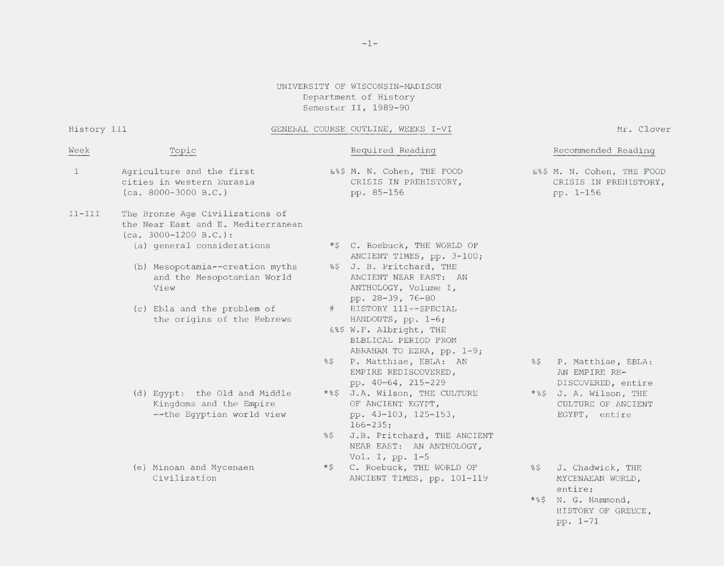# UNIVERSITY OF WISCONSIN-MADISON Department of History Semester II, 1989-90

## History 111 GENERAL COURSE OUTLINE, WEEKS I-VI

Mr. Clover

| Week         | Topic                                                                                            |        | Required Reading                                                                                                               |         | Recommended Reading                                              |
|--------------|--------------------------------------------------------------------------------------------------|--------|--------------------------------------------------------------------------------------------------------------------------------|---------|------------------------------------------------------------------|
| $\mathbf{1}$ | Agriculture and the first<br>cities in western Eurasia<br>$(ca. 8000-3000 B.C.)$                 |        | &%\$ M. N. Cohen, THE FOOD<br>CRISIS IN PREHISTORY,<br>pp. 85-156                                                              |         | &%\$ M. N. Cohen, THE FOOD<br>CRISIS IN PREHISTORY,<br>pp. 1-156 |
| $I1 - I1I$   | The Bronze Age Civilizations of<br>the Near East and E. Mediterranean<br>$(ca. 3000-1200 B.C.):$ |        |                                                                                                                                |         |                                                                  |
|              | (a) general considerations                                                                       |        | *\$ C. Roebuck, THE WORLD OF                                                                                                   |         |                                                                  |
|              | (b) Mesopotamia--creation myths<br>and the Mesopotamian World<br>View                            |        | ANCIENT TIMES, pp. 3-100;<br>%\$ J. B. Pritchard, THE<br>ANCIENT NEAR EAST: AN<br>ANTHOLOGY, Volume I,<br>pp. 28-39, 76-80     |         |                                                                  |
|              | (c) Ebla and the problem of<br>the origins of the Hebrews                                        | $\#$   | HISTORY 111 -- SPECIAL<br>HANDOUTS, $pp. 1-6;$<br>&%\$ W.F. Albright, THE<br>BLBLICAL PERIOD FROM<br>ABRAHAM TO EZRA, pp. 1-9; |         |                                                                  |
|              |                                                                                                  | $\S$   | P. Matthiae, EBLA: AN<br>EMPIRE REDISCOVERED,<br>pp. 40-64, 215-229                                                            | 8\$     | P. Matthiae, EBLA:<br>AN EMPIRE RE-<br>DISCOVERED, entire        |
|              | (d) Eqypt: the Old and Middle<br>Kingdoms and the Empire<br>--the Egyptian world view            |        | *%\$ J.A. Wilson, THE CULTURE<br>OF ANCIENT EGYPT,<br>pp. 43-103, 125-153,<br>$166 - 235;$                                     |         | *%\$ J. A. Wilson, THE<br>CULTURE OF ANCIENT<br>EGYPT, entire    |
|              |                                                                                                  | $\S$   | J.B. Pritchard, THE ANCIENT<br>NEAR EAST: AN ANTHOLOGY,<br>Vol. I, pp. 1-5                                                     |         |                                                                  |
|              | (e) Minoan and Mycenaen<br>Civilization                                                          | $*$ \$ | C. Roebuck, THE WORLD OF<br>ANCIENT TIMES, pp. 101-119                                                                         | $\S$ \$ | J. Chadwick, THE<br>MYCENAEAN WORLD.<br>entire;                  |
|              |                                                                                                  |        |                                                                                                                                |         |                                                                  |

\*%\$ N. G. Hammond, HISTORY OF GREECE, pp. 1-71